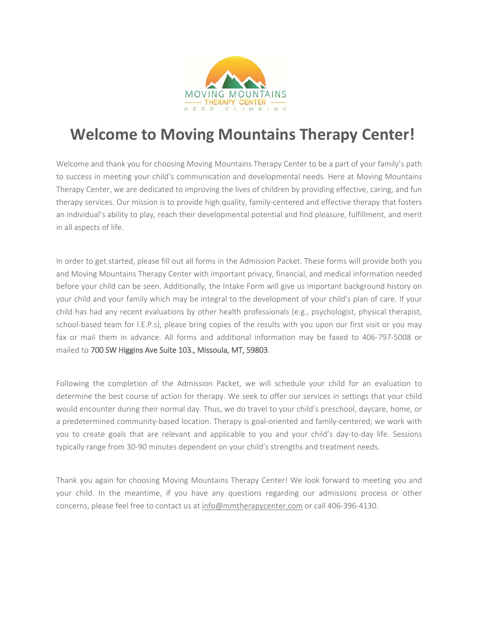

# **Welcome to Moving Mountains Therapy Center!**

Welcome and thank you for choosing Moving Mountains Therapy Center to be a part of your family's path to success in meeting your child's communication and developmental needs. Here at Moving Mountains Therapy Center, we are dedicated to improving the lives of children by providing effective, caring, and fun therapy services. Our mission is to provide high quality, family-centered and effective therapy that fosters an individual's ability to play, reach their developmental potential and find pleasure, fulfillment, and merit in all aspects of life.

In order to get started, please fill out all forms in the Admission Packet. These forms will provide both you and Moving Mountains Therapy Center with important privacy, financial, and medical information needed before your child can be seen. Additionally, the Intake Form will give us important background history on your child and your family which may be integral to the development of your child's plan of care. If your child has had any recent evaluations by other health professionals (e.g., psychologist, physical therapist, school-based team for I.E.P.s), please bring copies of the results with you upon our first visit or you may fax or mail them in advance. All forms and additional information may be faxed to 406-797-5008 or mailed to 700 SW Higgins Ave Suite 103., Missoula, MT, 59803.

Following the completion of the Admission Packet, we will schedule your child for an evaluation to determine the best course of action for therapy. We seek to offer our services in settings that your child would encounter during their normal day. Thus, we do travel to your child's preschool, daycare, home, or a predetermined community-based location. Therapy is goal-oriented and family-centered; we work with you to create goals that are relevant and applicable to you and your child's day-to-day life. Sessions typically range from 30-90 minutes dependent on your child's strengths and treatment needs.

Thank you again for choosing Moving Mountains Therapy Center! We look forward to meeting you and your child. In the meantime, if you have any questions regarding our admissions process or other concerns, please feel free to contact us at info@mmtherapycenter.com or call 406-396-4130.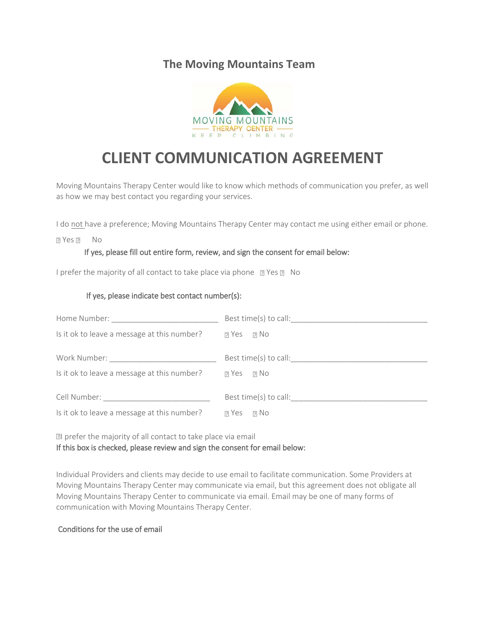### **The Moving Mountains Team**



## **CLIENT COMMUNICATION AGREEMENT**

Moving Mountains Therapy Center would like to know which methods of communication you prefer, as well as how we may best contact you regarding your services.

I do not have a preference; Moving Mountains Therapy Center may contact me using either email or phone.

**P** Yes **P** No

#### If yes, please fill out entire form, review, and sign the consent for email below:

I prefer the majority of all contact to take place via phone **PR** Yes **PR** No

#### If yes, please indicate best contact number(s):

| Home Number: North States and States and States and States and States and States and States and States and States and States and States and States and States and States and States and States and States and States and State |                       |
|--------------------------------------------------------------------------------------------------------------------------------------------------------------------------------------------------------------------------------|-----------------------|
| Is it ok to leave a message at this number?                                                                                                                                                                                    | $R$ Yes $R$ No        |
| Work Number: Work Number:                                                                                                                                                                                                      | Best time(s) to call: |
| Is it ok to leave a message at this number?                                                                                                                                                                                    | $R$ Yes $R$ No        |
| Cell Number: <u>__________________________</u>                                                                                                                                                                                 | Best time(s) to call: |
| Is it ok to leave a message at this number?                                                                                                                                                                                    | $R$ Yes $R$ No        |

**I** prefer the majority of all contact to take place via email If this box is checked, please review and sign the consent for email below:

Individual Providers and clients may decide to use email to facilitate communication. Some Providers at Moving Mountains Therapy Center may communicate via email, but this agreement does not obligate all Moving Mountains Therapy Center to communicate via email. Email may be one of many forms of communication with Moving Mountains Therapy Center.

#### Conditions for the use of email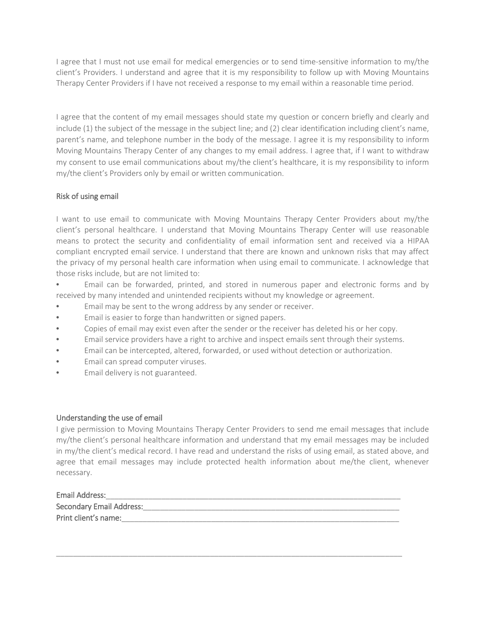I agree that I must not use email for medical emergencies or to send time-sensitive information to my/the client's Providers. I understand and agree that it is my responsibility to follow up with Moving Mountains Therapy Center Providers if I have not received a response to my email within a reasonable time period.

I agree that the content of my email messages should state my question or concern briefly and clearly and include (1) the subject of the message in the subject line; and (2) clear identification including client's name, parent's name, and telephone number in the body of the message. I agree it is my responsibility to inform Moving Mountains Therapy Center of any changes to my email address. I agree that, if I want to withdraw my consent to use email communications about my/the client's healthcare, it is my responsibility to inform my/the client's Providers only by email or written communication.

#### Risk of using email

I want to use email to communicate with Moving Mountains Therapy Center Providers about my/the client's personal healthcare. I understand that Moving Mountains Therapy Center will use reasonable means to protect the security and confidentiality of email information sent and received via a HIPAA compliant encrypted email service. I understand that there are known and unknown risks that may affect the privacy of my personal health care information when using email to communicate. I acknowledge that those risks include, but are not limited to:

• Email can be forwarded, printed, and stored in numerous paper and electronic forms and by received by many intended and unintended recipients without my knowledge or agreement.

- Email may be sent to the wrong address by any sender or receiver.
- Email is easier to forge than handwritten or signed papers.
- Copies of email may exist even after the sender or the receiver has deleted his or her copy.
- Email service providers have a right to archive and inspect emails sent through their systems.
- Email can be intercepted, altered, forwarded, or used without detection or authorization.
- Email can spread computer viruses.
- Email delivery is not guaranteed.

#### Understanding the use of email

I give permission to Moving Mountains Therapy Center Providers to send me email messages that include my/the client's personal healthcare information and understand that my email messages may be included in my/the client's medical record. I have read and understand the risks of using email, as stated above, and agree that email messages may include protected health information about me/the client, whenever necessary.

| Email Address:                  |
|---------------------------------|
| <b>Secondary Email Address:</b> |
| Print client's name:            |

\_\_\_\_\_\_\_\_\_\_\_\_\_\_\_\_\_\_\_\_\_\_\_\_\_\_\_\_\_\_\_\_\_\_\_\_\_\_\_\_\_\_\_\_\_\_\_\_\_\_\_\_\_\_\_\_\_\_\_\_\_\_\_\_\_\_\_\_\_\_\_\_\_\_\_\_\_\_\_\_\_